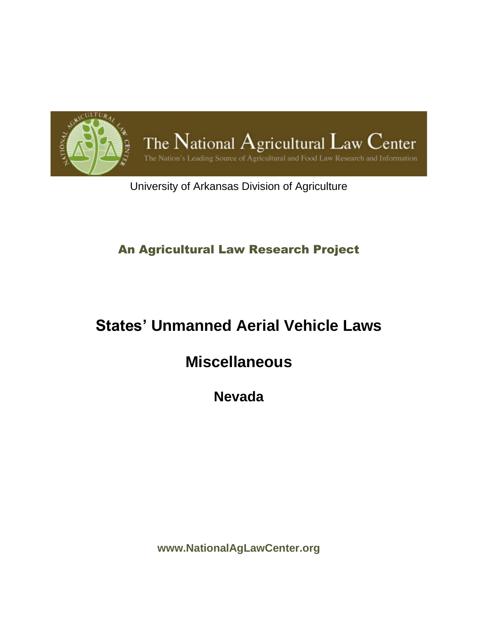

University of Arkansas Division of Agriculture

### An Agricultural Law Research Project

# **States' Unmanned Aerial Vehicle Laws**

## **Miscellaneous**

**Nevada**

**www.NationalAgLawCenter.org**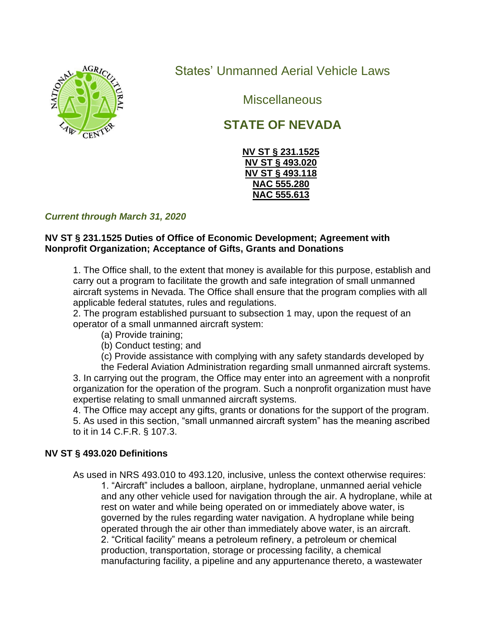

States' Unmanned Aerial Vehicle Laws

**Miscellaneous** 

## **STATE OF NEVADA**



#### *Current through March 31, 2020*

#### **NV ST § 231.1525 Duties of Office of Economic Development; Agreement with Nonprofit Organization; Acceptance of Gifts, Grants and Donations**

1. The Office shall, to the extent that money is available for this purpose, establish and carry out a program to facilitate the growth and safe integration of small unmanned aircraft systems in Nevada. The Office shall ensure that the program complies with all applicable federal statutes, rules and regulations.

2. The program established pursuant to subsection 1 may, upon the request of an operator of a small unmanned aircraft system:

- (a) Provide training;
- (b) Conduct testing; and
- (c) Provide assistance with complying with any safety standards developed by

the Federal Aviation Administration regarding small unmanned aircraft systems. 3. In carrying out the program, the Office may enter into an agreement with a nonprofit organization for the operation of the program. Such a nonprofit organization must have expertise relating to small unmanned aircraft systems.

4. The Office may accept any gifts, grants or donations for the support of the program. 5. As used in this section, "small unmanned aircraft system" has the meaning ascribed to it in 14 C.F.R. § 107.3.

#### **NV ST § 493.020 Definitions**

As used in NRS 493.010 to 493.120, inclusive, unless the context otherwise requires: 1. "Aircraft" includes a balloon, airplane, hydroplane, unmanned aerial vehicle and any other vehicle used for navigation through the air. A hydroplane, while at rest on water and while being operated on or immediately above water, is governed by the rules regarding water navigation. A hydroplane while being operated through the air other than immediately above water, is an aircraft. 2. "Critical facility" means a petroleum refinery, a petroleum or chemical production, transportation, storage or processing facility, a chemical manufacturing facility, a pipeline and any appurtenance thereto, a wastewater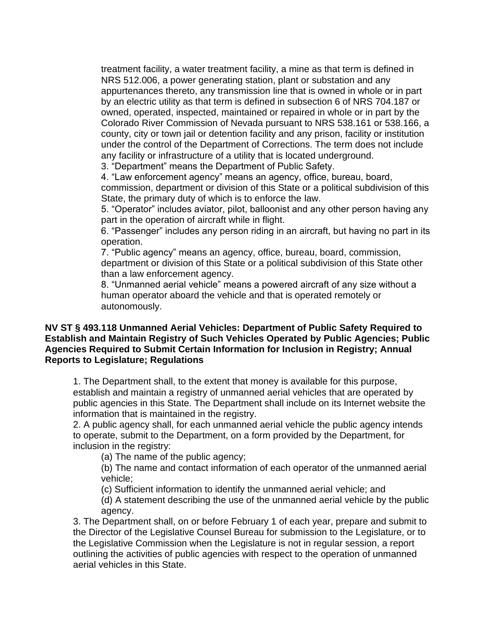treatment facility, a water treatment facility, a mine as that term is defined in NRS 512.006, a power generating station, plant or substation and any appurtenances thereto, any transmission line that is owned in whole or in part by an electric utility as that term is defined in subsection 6 of NRS 704.187 or owned, operated, inspected, maintained or repaired in whole or in part by the Colorado River Commission of Nevada pursuant to NRS 538.161 or 538.166, a county, city or town jail or detention facility and any prison, facility or institution under the control of the Department of Corrections. The term does not include any facility or infrastructure of a utility that is located underground.

3. "Department" means the Department of Public Safety.

4. "Law enforcement agency" means an agency, office, bureau, board, commission, department or division of this State or a political subdivision of this State, the primary duty of which is to enforce the law.

5. "Operator" includes aviator, pilot, balloonist and any other person having any part in the operation of aircraft while in flight.

6. "Passenger" includes any person riding in an aircraft, but having no part in its operation.

7. "Public agency" means an agency, office, bureau, board, commission, department or division of this State or a political subdivision of this State other than a law enforcement agency.

8. "Unmanned aerial vehicle" means a powered aircraft of any size without a human operator aboard the vehicle and that is operated remotely or autonomously.

#### **NV ST § 493.118 Unmanned Aerial Vehicles: Department of Public Safety Required to Establish and Maintain Registry of Such Vehicles Operated by Public Agencies; Public Agencies Required to Submit Certain Information for Inclusion in Registry; Annual Reports to Legislature; Regulations**

1. The Department shall, to the extent that money is available for this purpose, establish and maintain a registry of unmanned aerial vehicles that are operated by public agencies in this State. The Department shall include on its Internet website the information that is maintained in the registry.

2. A public agency shall, for each unmanned aerial vehicle the public agency intends to operate, submit to the Department, on a form provided by the Department, for inclusion in the registry:

(a) The name of the public agency;

(b) The name and contact information of each operator of the unmanned aerial vehicle;

(c) Sufficient information to identify the unmanned aerial vehicle; and

(d) A statement describing the use of the unmanned aerial vehicle by the public agency.

3. The Department shall, on or before February 1 of each year, prepare and submit to the Director of the Legislative Counsel Bureau for submission to the Legislature, or to the Legislative Commission when the Legislature is not in regular session, a report outlining the activities of public agencies with respect to the operation of unmanned aerial vehicles in this State.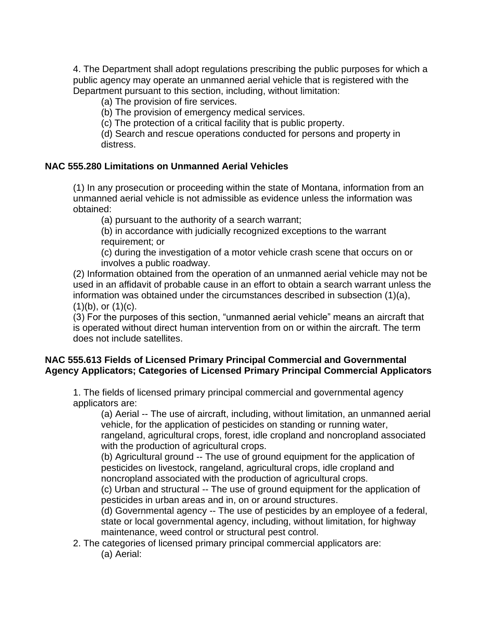4. The Department shall adopt regulations prescribing the public purposes for which a public agency may operate an unmanned aerial vehicle that is registered with the Department pursuant to this section, including, without limitation:

(a) The provision of fire services.

(b) The provision of emergency medical services.

(c) The protection of a critical facility that is public property.

(d) Search and rescue operations conducted for persons and property in distress.

#### **NAC 555.280 Limitations on Unmanned Aerial Vehicles**

(1) In any prosecution or proceeding within the state of Montana, information from an unmanned aerial vehicle is not admissible as evidence unless the information was obtained:

(a) pursuant to the authority of a search warrant;

(b) in accordance with judicially recognized exceptions to the warrant requirement; or

(c) during the investigation of a motor vehicle crash scene that occurs on or involves a public roadway.

(2) Information obtained from the operation of an unmanned aerial vehicle may not be used in an affidavit of probable cause in an effort to obtain a search warrant unless the information was obtained under the circumstances described in subsection (1)(a),  $(1)(b)$ , or  $(1)(c)$ .

(3) For the purposes of this section, "unmanned aerial vehicle" means an aircraft that is operated without direct human intervention from on or within the aircraft. The term does not include satellites.

#### **NAC 555.613 Fields of Licensed Primary Principal Commercial and Governmental Agency Applicators; Categories of Licensed Primary Principal Commercial Applicators**

1. The fields of licensed primary principal commercial and governmental agency applicators are:

(a) Aerial -- The use of aircraft, including, without limitation, an unmanned aerial vehicle, for the application of pesticides on standing or running water, rangeland, agricultural crops, forest, idle cropland and noncropland associated with the production of agricultural crops.

(b) Agricultural ground -- The use of ground equipment for the application of pesticides on livestock, rangeland, agricultural crops, idle cropland and noncropland associated with the production of agricultural crops.

(c) Urban and structural -- The use of ground equipment for the application of pesticides in urban areas and in, on or around structures.

(d) Governmental agency -- The use of pesticides by an employee of a federal, state or local governmental agency, including, without limitation, for highway maintenance, weed control or structural pest control.

2. The categories of licensed primary principal commercial applicators are: (a) Aerial: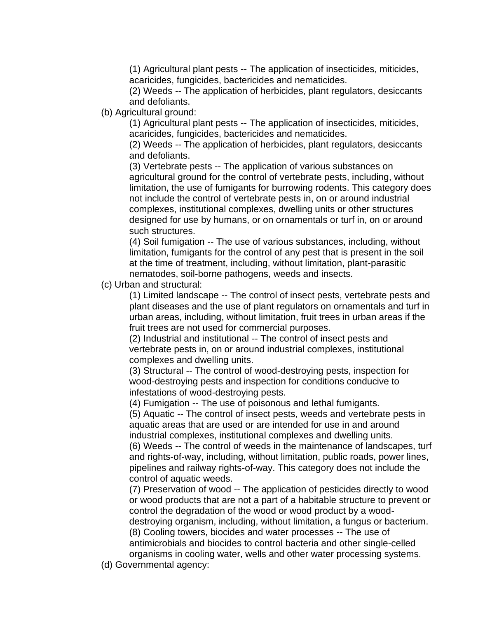(1) Agricultural plant pests -- The application of insecticides, miticides, acaricides, fungicides, bactericides and nematicides.

(2) Weeds -- The application of herbicides, plant regulators, desiccants and defoliants.

(b) Agricultural ground:

(1) Agricultural plant pests -- The application of insecticides, miticides, acaricides, fungicides, bactericides and nematicides.

(2) Weeds -- The application of herbicides, plant regulators, desiccants and defoliants.

(3) Vertebrate pests -- The application of various substances on agricultural ground for the control of vertebrate pests, including, without limitation, the use of fumigants for burrowing rodents. This category does not include the control of vertebrate pests in, on or around industrial complexes, institutional complexes, dwelling units or other structures designed for use by humans, or on ornamentals or turf in, on or around such structures.

(4) Soil fumigation -- The use of various substances, including, without limitation, fumigants for the control of any pest that is present in the soil at the time of treatment, including, without limitation, plant-parasitic nematodes, soil-borne pathogens, weeds and insects.

(c) Urban and structural:

(1) Limited landscape -- The control of insect pests, vertebrate pests and plant diseases and the use of plant regulators on ornamentals and turf in urban areas, including, without limitation, fruit trees in urban areas if the fruit trees are not used for commercial purposes.

(2) Industrial and institutional -- The control of insect pests and vertebrate pests in, on or around industrial complexes, institutional complexes and dwelling units.

(3) Structural -- The control of wood-destroying pests, inspection for wood-destroying pests and inspection for conditions conducive to infestations of wood-destroying pests.

(4) Fumigation -- The use of poisonous and lethal fumigants.

(5) Aquatic -- The control of insect pests, weeds and vertebrate pests in aquatic areas that are used or are intended for use in and around industrial complexes, institutional complexes and dwelling units.

(6) Weeds -- The control of weeds in the maintenance of landscapes, turf and rights-of-way, including, without limitation, public roads, power lines, pipelines and railway rights-of-way. This category does not include the control of aquatic weeds.

(7) Preservation of wood -- The application of pesticides directly to wood or wood products that are not a part of a habitable structure to prevent or control the degradation of the wood or wood product by a wooddestroying organism, including, without limitation, a fungus or bacterium. (8) Cooling towers, biocides and water processes -- The use of antimicrobials and biocides to control bacteria and other single-celled organisms in cooling water, wells and other water processing systems.

(d) Governmental agency: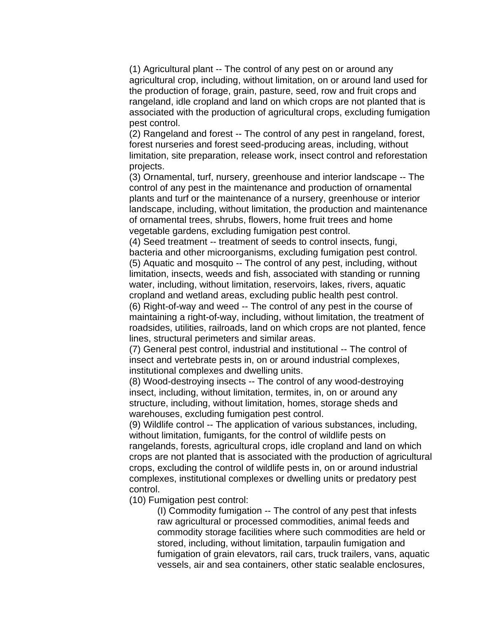(1) Agricultural plant -- The control of any pest on or around any agricultural crop, including, without limitation, on or around land used for the production of forage, grain, pasture, seed, row and fruit crops and rangeland, idle cropland and land on which crops are not planted that is associated with the production of agricultural crops, excluding fumigation pest control.

(2) Rangeland and forest -- The control of any pest in rangeland, forest, forest nurseries and forest seed-producing areas, including, without limitation, site preparation, release work, insect control and reforestation projects.

(3) Ornamental, turf, nursery, greenhouse and interior landscape -- The control of any pest in the maintenance and production of ornamental plants and turf or the maintenance of a nursery, greenhouse or interior landscape, including, without limitation, the production and maintenance of ornamental trees, shrubs, flowers, home fruit trees and home vegetable gardens, excluding fumigation pest control.

(4) Seed treatment -- treatment of seeds to control insects, fungi, bacteria and other microorganisms, excluding fumigation pest control. (5) Aquatic and mosquito -- The control of any pest, including, without limitation, insects, weeds and fish, associated with standing or running water, including, without limitation, reservoirs, lakes, rivers, aquatic cropland and wetland areas, excluding public health pest control. (6) Right-of-way and weed -- The control of any pest in the course of maintaining a right-of-way, including, without limitation, the treatment of roadsides, utilities, railroads, land on which crops are not planted, fence lines, structural perimeters and similar areas.

(7) General pest control, industrial and institutional -- The control of insect and vertebrate pests in, on or around industrial complexes, institutional complexes and dwelling units.

(8) Wood-destroying insects -- The control of any wood-destroying insect, including, without limitation, termites, in, on or around any structure, including, without limitation, homes, storage sheds and warehouses, excluding fumigation pest control.

(9) Wildlife control -- The application of various substances, including, without limitation, fumigants, for the control of wildlife pests on rangelands, forests, agricultural crops, idle cropland and land on which crops are not planted that is associated with the production of agricultural crops, excluding the control of wildlife pests in, on or around industrial complexes, institutional complexes or dwelling units or predatory pest control.

(10) Fumigation pest control:

(I) Commodity fumigation -- The control of any pest that infests raw agricultural or processed commodities, animal feeds and commodity storage facilities where such commodities are held or stored, including, without limitation, tarpaulin fumigation and fumigation of grain elevators, rail cars, truck trailers, vans, aquatic vessels, air and sea containers, other static sealable enclosures,